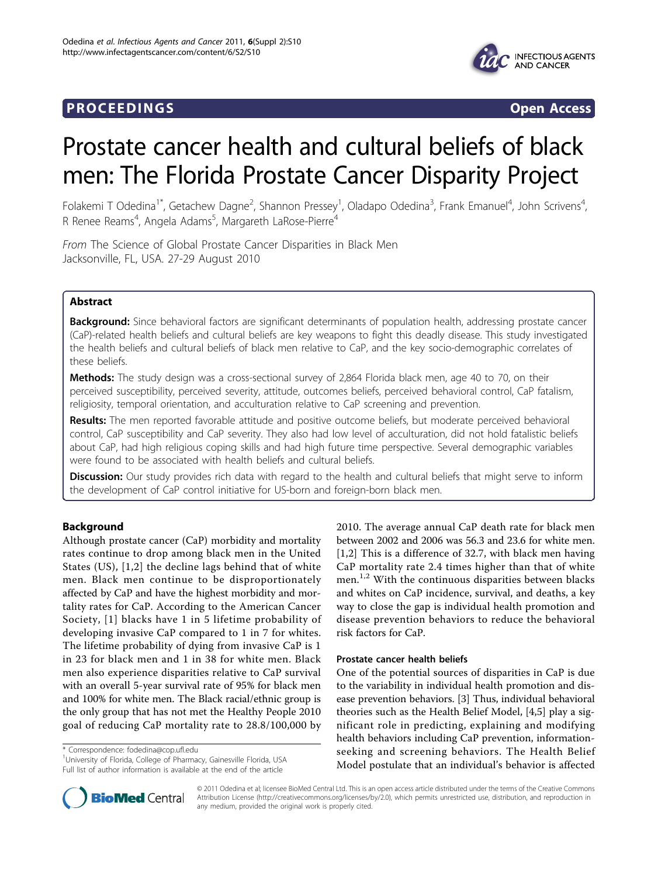## **PROCEEDINGS CONSIDERING SECOND CONSIDERING SECOND CONSIDERING SECOND SECOND SECOND SECOND SECOND SECOND SECOND SECOND SECOND SECOND SECOND SECOND SECOND SECOND SECOND SECOND SECOND SECOND SECOND SECOND SECOND SECOND SEC**



# Prostate cancer health and cultural beliefs of black men: The Florida Prostate Cancer Disparity Project

Folakemi T Odedina<sup>1\*</sup>, Getachew Dagne<sup>2</sup>, Shannon Pressey<sup>1</sup>, Oladapo Odedina<sup>3</sup>, Frank Emanuel<sup>4</sup>, John Scrivens<sup>4</sup> , R Renee Reams<sup>4</sup>, Angela Adams<sup>5</sup>, Margareth LaRose-Pierre<sup>4</sup>

From The Science of Global Prostate Cancer Disparities in Black Men Jacksonville, FL, USA. 27-29 August 2010

## Abstract

Background: Since behavioral factors are significant determinants of population health, addressing prostate cancer (CaP)-related health beliefs and cultural beliefs are key weapons to fight this deadly disease. This study investigated the health beliefs and cultural beliefs of black men relative to CaP, and the key socio-demographic correlates of these beliefs.

Methods: The study design was a cross-sectional survey of 2,864 Florida black men, age 40 to 70, on their perceived susceptibility, perceived severity, attitude, outcomes beliefs, perceived behavioral control, CaP fatalism, religiosity, temporal orientation, and acculturation relative to CaP screening and prevention.

Results: The men reported favorable attitude and positive outcome beliefs, but moderate perceived behavioral control, CaP susceptibility and CaP severity. They also had low level of acculturation, did not hold fatalistic beliefs about CaP, had high religious coping skills and had high future time perspective. Several demographic variables were found to be associated with health beliefs and cultural beliefs.

Discussion: Our study provides rich data with regard to the health and cultural beliefs that might serve to inform the development of CaP control initiative for US-born and foreign-born black men.

## Background

Although prostate cancer (CaP) morbidity and mortality rates continue to drop among black men in the United States (US), [[1,2](#page-6-0)] the decline lags behind that of white men. Black men continue to be disproportionately affected by CaP and have the highest morbidity and mortality rates for CaP. According to the American Cancer Society, [[1](#page-6-0)] blacks have 1 in 5 lifetime probability of developing invasive CaP compared to 1 in 7 for whites. The lifetime probability of dying from invasive CaP is 1 in 23 for black men and 1 in 38 for white men. Black men also experience disparities relative to CaP survival with an overall 5-year survival rate of 95% for black men and 100% for white men. The Black racial/ethnic group is the only group that has not met the Healthy People 2010 goal of reducing CaP mortality rate to 28.8/100,000 by

\* Correspondence: [fodedina@cop.ufl.edu](mailto:fodedina@cop.ufl.edu)

<sup>1</sup>University of Florida, College of Pharmacy, Gainesville Florida, USA Full list of author information is available at the end of the article

2010. The average annual CaP death rate for black men between 2002 and 2006 was 56.3 and 23.6 for white men. [[1,2](#page-6-0)] This is a difference of 32.7, with black men having CaP mortality rate 2.4 times higher than that of white men.<sup>1,2</sup> With the continuous disparities between blacks and whites on CaP incidence, survival, and deaths, a key way to close the gap is individual health promotion and disease prevention behaviors to reduce the behavioral risk factors for CaP.

## Prostate cancer health beliefs

One of the potential sources of disparities in CaP is due to the variability in individual health promotion and disease prevention behaviors. [\[3](#page-6-0)] Thus, individual behavioral theories such as the Health Belief Model, [\[4,5](#page-6-0)] play a significant role in predicting, explaining and modifying health behaviors including CaP prevention, informationseeking and screening behaviors. The Health Belief Model postulate that an individual's behavior is affected



© 2011 Odedina et al; licensee BioMed Central Ltd. This is an open access article distributed under the terms of the Creative Commons Attribution License [\(http://creativecommons.org/licenses/by/2.0](http://creativecommons.org/licenses/by/2.0)), which permits unrestricted use, distribution, and reproduction in any medium, provided the original work is properly cited.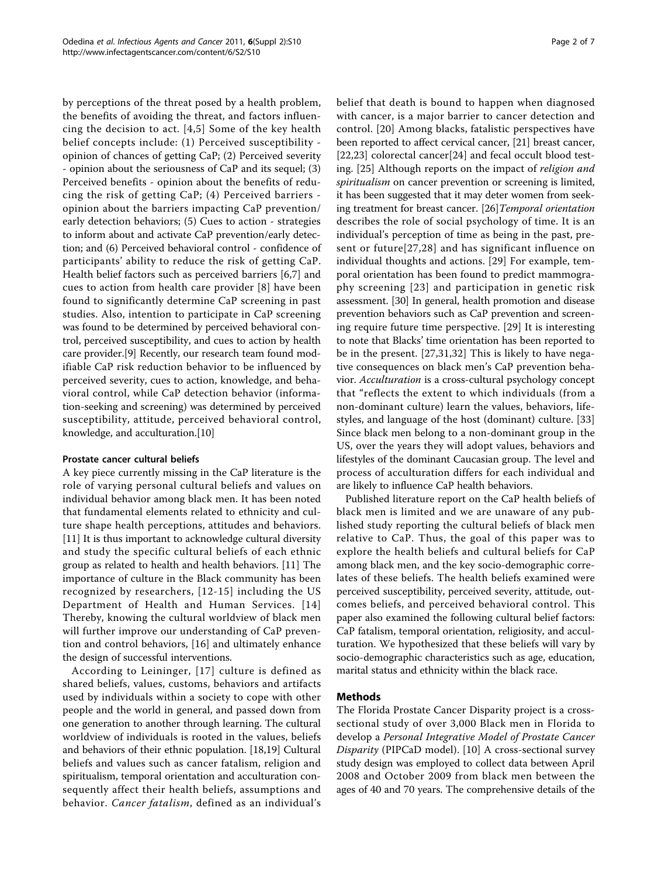by perceptions of the threat posed by a health problem, the benefits of avoiding the threat, and factors influencing the decision to act. [[4,5\]](#page-6-0) Some of the key health belief concepts include: (1) Perceived susceptibility opinion of chances of getting CaP; (2) Perceived severity - opinion about the seriousness of CaP and its sequel; (3) Perceived benefits - opinion about the benefits of reducing the risk of getting CaP; (4) Perceived barriers opinion about the barriers impacting CaP prevention/ early detection behaviors; (5) Cues to action - strategies to inform about and activate CaP prevention/early detection; and (6) Perceived behavioral control - confidence of participants' ability to reduce the risk of getting CaP. Health belief factors such as perceived barriers [\[6,7](#page-6-0)] and cues to action from health care provider [\[8\]](#page-6-0) have been found to significantly determine CaP screening in past studies. Also, intention to participate in CaP screening was found to be determined by perceived behavioral control, perceived susceptibility, and cues to action by health care provider.[[9\]](#page-6-0) Recently, our research team found modifiable CaP risk reduction behavior to be influenced by perceived severity, cues to action, knowledge, and behavioral control, while CaP detection behavior (information-seeking and screening) was determined by perceived susceptibility, attitude, perceived behavioral control, knowledge, and acculturation.[\[10](#page-6-0)]

## Prostate cancer cultural beliefs

A key piece currently missing in the CaP literature is the role of varying personal cultural beliefs and values on individual behavior among black men. It has been noted that fundamental elements related to ethnicity and culture shape health perceptions, attitudes and behaviors. [[11\]](#page-6-0) It is thus important to acknowledge cultural diversity and study the specific cultural beliefs of each ethnic group as related to health and health behaviors. [\[11](#page-6-0)] The importance of culture in the Black community has been recognized by researchers, [[12](#page-6-0)-[15](#page-6-0)] including the US Department of Health and Human Services. [[14](#page-6-0)] Thereby, knowing the cultural worldview of black men will further improve our understanding of CaP prevention and control behaviors, [[16\]](#page-6-0) and ultimately enhance the design of successful interventions.

According to Leininger, [\[17](#page-6-0)] culture is defined as shared beliefs, values, customs, behaviors and artifacts used by individuals within a society to cope with other people and the world in general, and passed down from one generation to another through learning. The cultural worldview of individuals is rooted in the values, beliefs and behaviors of their ethnic population. [\[18,19\]](#page-6-0) Cultural beliefs and values such as cancer fatalism, religion and spiritualism, temporal orientation and acculturation consequently affect their health beliefs, assumptions and behavior. Cancer fatalism, defined as an individual's belief that death is bound to happen when diagnosed with cancer, is a major barrier to cancer detection and control. [[20](#page-6-0)] Among blacks, fatalistic perspectives have been reported to affect cervical cancer, [\[21](#page-6-0)] breast cancer, [[22,23](#page-6-0)] colorectal cancer[[24\]](#page-6-0) and fecal occult blood testing. [[25](#page-6-0)] Although reports on the impact of religion and spiritualism on cancer prevention or screening is limited, it has been suggested that it may deter women from seek-ing treatment for breast cancer. [[26\]](#page-6-0) Temporal orientation describes the role of social psychology of time. It is an individual's perception of time as being in the past, present or future[[27](#page-6-0),[28](#page-6-0)] and has significant influence on individual thoughts and actions. [\[29\]](#page-6-0) For example, temporal orientation has been found to predict mammography screening [[23](#page-6-0)] and participation in genetic risk assessment. [[30](#page-6-0)] In general, health promotion and disease prevention behaviors such as CaP prevention and screening require future time perspective. [[29\]](#page-6-0) It is interesting to note that Blacks' time orientation has been reported to be in the present. [\[27,31,32](#page-6-0)] This is likely to have negative consequences on black men's CaP prevention behavior. Acculturation is a cross-cultural psychology concept that "reflects the extent to which individuals (from a non-dominant culture) learn the values, behaviors, lifestyles, and language of the host (dominant) culture. [\[33](#page-6-0)] Since black men belong to a non-dominant group in the US, over the years they will adopt values, behaviors and lifestyles of the dominant Caucasian group. The level and process of acculturation differs for each individual and are likely to influence CaP health behaviors.

Published literature report on the CaP health beliefs of black men is limited and we are unaware of any published study reporting the cultural beliefs of black men relative to CaP. Thus, the goal of this paper was to explore the health beliefs and cultural beliefs for CaP among black men, and the key socio-demographic correlates of these beliefs. The health beliefs examined were perceived susceptibility, perceived severity, attitude, outcomes beliefs, and perceived behavioral control. This paper also examined the following cultural belief factors: CaP fatalism, temporal orientation, religiosity, and acculturation. We hypothesized that these beliefs will vary by socio-demographic characteristics such as age, education, marital status and ethnicity within the black race.

## Methods

The Florida Prostate Cancer Disparity project is a crosssectional study of over 3,000 Black men in Florida to develop a Personal Integrative Model of Prostate Cancer Disparity (PIPCaD model). [\[10](#page-6-0)] A cross-sectional survey study design was employed to collect data between April 2008 and October 2009 from black men between the ages of 40 and 70 years. The comprehensive details of the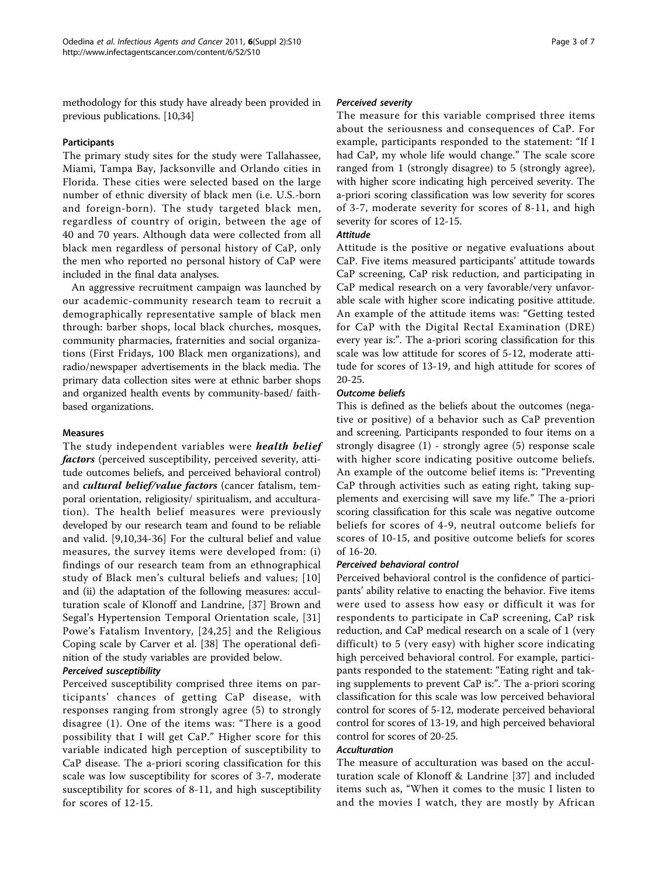methodology for this study have already been provided in previous publications. [\[10,34\]](#page-6-0)

#### Participants

The primary study sites for the study were Tallahassee, Miami, Tampa Bay, Jacksonville and Orlando cities in Florida. These cities were selected based on the large number of ethnic diversity of black men (i.e. U.S.-born and foreign-born). The study targeted black men, regardless of country of origin, between the age of 40 and 70 years. Although data were collected from all black men regardless of personal history of CaP, only the men who reported no personal history of CaP were included in the final data analyses.

An aggressive recruitment campaign was launched by our academic-community research team to recruit a demographically representative sample of black men through: barber shops, local black churches, mosques, community pharmacies, fraternities and social organizations (First Fridays, 100 Black men organizations), and radio/newspaper advertisements in the black media. The primary data collection sites were at ethnic barber shops and organized health events by community-based/ faithbased organizations.

#### Measures

The study independent variables were *health belief* factors (perceived susceptibility, perceived severity, attitude outcomes beliefs, and perceived behavioral control) and *cultural belief/value factors* (cancer fatalism, temporal orientation, religiosity/ spiritualism, and acculturation). The health belief measures were previously developed by our research team and found to be reliable and valid. [\[9](#page-6-0),[10,34-36\]](#page-6-0) For the cultural belief and value measures, the survey items were developed from: (i) findings of our research team from an ethnographical study of Black men's cultural beliefs and values; [[10](#page-6-0)] and (ii) the adaptation of the following measures: acculturation scale of Klonoff and Landrine, [[37](#page-6-0)] Brown and Segal's Hypertension Temporal Orientation scale, [\[31](#page-6-0)] Powe's Fatalism Inventory, [[24](#page-6-0),[25](#page-6-0)] and the Religious Coping scale by Carver et al. [[38\]](#page-6-0) The operational definition of the study variables are provided below.

## Perceived susceptibility

Perceived susceptibility comprised three items on participants' chances of getting CaP disease, with responses ranging from strongly agree (5) to strongly disagree (1). One of the items was: "There is a good possibility that I will get CaP." Higher score for this variable indicated high perception of susceptibility to CaP disease. The a-priori scoring classification for this scale was low susceptibility for scores of 3-7, moderate susceptibility for scores of 8-11, and high susceptibility for scores of 12-15.

#### Perceived severity

The measure for this variable comprised three items about the seriousness and consequences of CaP. For example, participants responded to the statement: "If I had CaP, my whole life would change." The scale score ranged from 1 (strongly disagree) to 5 (strongly agree), with higher score indicating high perceived severity. The a-priori scoring classification was low severity for scores of 3-7, moderate severity for scores of 8-11, and high severity for scores of 12-15.

#### Attitude

Attitude is the positive or negative evaluations about CaP. Five items measured participants' attitude towards CaP screening, CaP risk reduction, and participating in CaP medical research on a very favorable/very unfavorable scale with higher score indicating positive attitude. An example of the attitude items was: "Getting tested for CaP with the Digital Rectal Examination (DRE) every year is:". The a-priori scoring classification for this scale was low attitude for scores of 5-12, moderate attitude for scores of 13-19, and high attitude for scores of 20-25.

#### Outcome beliefs

This is defined as the beliefs about the outcomes (negative or positive) of a behavior such as CaP prevention and screening. Participants responded to four items on a strongly disagree (1) - strongly agree (5) response scale with higher score indicating positive outcome beliefs. An example of the outcome belief items is: "Preventing CaP through activities such as eating right, taking supplements and exercising will save my life." The a-priori scoring classification for this scale was negative outcome beliefs for scores of 4-9, neutral outcome beliefs for scores of 10-15, and positive outcome beliefs for scores of 16-20.

## Perceived behavioral control

Perceived behavioral control is the confidence of participants' ability relative to enacting the behavior. Five items were used to assess how easy or difficult it was for respondents to participate in CaP screening, CaP risk reduction, and CaP medical research on a scale of 1 (very difficult) to 5 (very easy) with higher score indicating high perceived behavioral control. For example, participants responded to the statement: "Eating right and taking supplements to prevent CaP is:". The a-priori scoring classification for this scale was low perceived behavioral control for scores of 5-12, moderate perceived behavioral control for scores of 13-19, and high perceived behavioral control for scores of 20-25.

## **Acculturation**

The measure of acculturation was based on the acculturation scale of Klonoff & Landrine [[37](#page-6-0)] and included items such as, "When it comes to the music I listen to and the movies I watch, they are mostly by African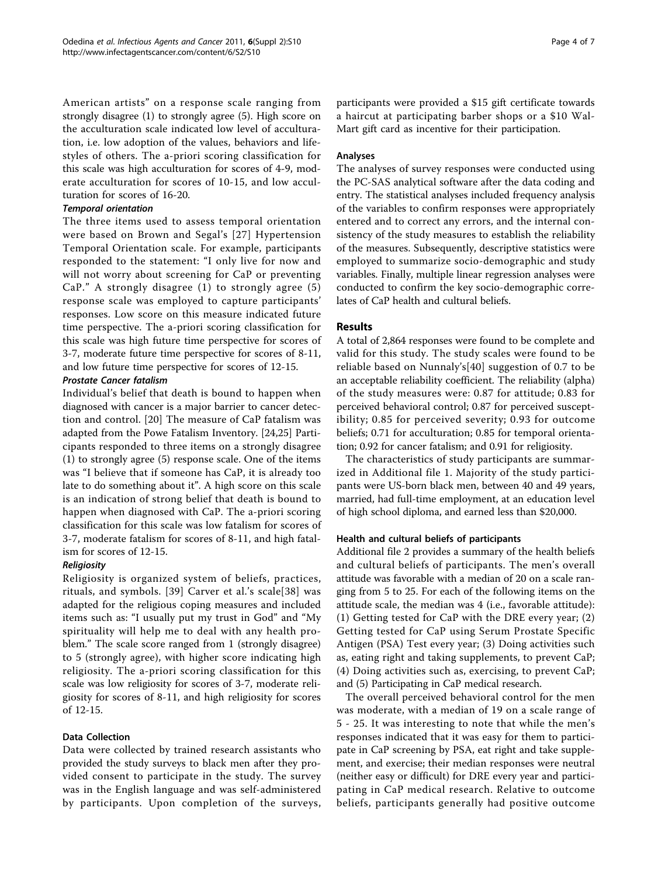American artists" on a response scale ranging from strongly disagree (1) to strongly agree (5). High score on the acculturation scale indicated low level of acculturation, i.e. low adoption of the values, behaviors and lifestyles of others. The a-priori scoring classification for this scale was high acculturation for scores of 4-9, moderate acculturation for scores of 10-15, and low acculturation for scores of 16-20.

#### Temporal orientation

The three items used to assess temporal orientation were based on Brown and Segal's [[27](#page-6-0)] Hypertension Temporal Orientation scale. For example, participants responded to the statement: "I only live for now and will not worry about screening for CaP or preventing CaP." A strongly disagree (1) to strongly agree (5) response scale was employed to capture participants' responses. Low score on this measure indicated future time perspective. The a-priori scoring classification for this scale was high future time perspective for scores of 3-7, moderate future time perspective for scores of 8-11, and low future time perspective for scores of 12-15.

## Prostate Cancer fatalism

Individual's belief that death is bound to happen when diagnosed with cancer is a major barrier to cancer detection and control. [[20](#page-6-0)] The measure of CaP fatalism was adapted from the Powe Fatalism Inventory. [[24,25\]](#page-6-0) Participants responded to three items on a strongly disagree (1) to strongly agree (5) response scale. One of the items was "I believe that if someone has CaP, it is already too late to do something about it". A high score on this scale is an indication of strong belief that death is bound to happen when diagnosed with CaP. The a-priori scoring classification for this scale was low fatalism for scores of 3-7, moderate fatalism for scores of 8-11, and high fatalism for scores of 12-15.

## Religiosity

Religiosity is organized system of beliefs, practices, rituals, and symbols. [[39](#page-6-0)] Carver et al.'s scale[[38](#page-6-0)] was adapted for the religious coping measures and included items such as: "I usually put my trust in God" and "My spirituality will help me to deal with any health problem." The scale score ranged from 1 (strongly disagree) to 5 (strongly agree), with higher score indicating high religiosity. The a-priori scoring classification for this scale was low religiosity for scores of 3-7, moderate religiosity for scores of 8-11, and high religiosity for scores of 12-15.

## Data Collection

Data were collected by trained research assistants who provided the study surveys to black men after they provided consent to participate in the study. The survey was in the English language and was self-administered by participants. Upon completion of the surveys, participants were provided a \$15 gift certificate towards a haircut at participating barber shops or a \$10 Wal-Mart gift card as incentive for their participation.

#### Analyses

The analyses of survey responses were conducted using the PC-SAS analytical software after the data coding and entry. The statistical analyses included frequency analysis of the variables to confirm responses were appropriately entered and to correct any errors, and the internal consistency of the study measures to establish the reliability of the measures. Subsequently, descriptive statistics were employed to summarize socio-demographic and study variables. Finally, multiple linear regression analyses were conducted to confirm the key socio-demographic correlates of CaP health and cultural beliefs.

## Results

A total of 2,864 responses were found to be complete and valid for this study. The study scales were found to be reliable based on Nunnaly's[[40\]](#page-6-0) suggestion of 0.7 to be an acceptable reliability coefficient. The reliability (alpha) of the study measures were: 0.87 for attitude; 0.83 for perceived behavioral control; 0.87 for perceived susceptibility; 0.85 for perceived severity; 0.93 for outcome beliefs; 0.71 for acculturation; 0.85 for temporal orientation; 0.92 for cancer fatalism; and 0.91 for religiosity.

The characteristics of study participants are summarized in Additional file [1](#page-5-0). Majority of the study participants were US-born black men, between 40 and 49 years, married, had full-time employment, at an education level of high school diploma, and earned less than \$20,000.

#### Health and cultural beliefs of participants

Additional file [2](#page-5-0) provides a summary of the health beliefs and cultural beliefs of participants. The men's overall attitude was favorable with a median of 20 on a scale ranging from 5 to 25. For each of the following items on the attitude scale, the median was 4 (i.e., favorable attitude): (1) Getting tested for CaP with the DRE every year; (2) Getting tested for CaP using Serum Prostate Specific Antigen (PSA) Test every year; (3) Doing activities such as, eating right and taking supplements, to prevent CaP; (4) Doing activities such as, exercising, to prevent CaP; and (5) Participating in CaP medical research.

The overall perceived behavioral control for the men was moderate, with a median of 19 on a scale range of 5 - 25. It was interesting to note that while the men's responses indicated that it was easy for them to participate in CaP screening by PSA, eat right and take supplement, and exercise; their median responses were neutral (neither easy or difficult) for DRE every year and participating in CaP medical research. Relative to outcome beliefs, participants generally had positive outcome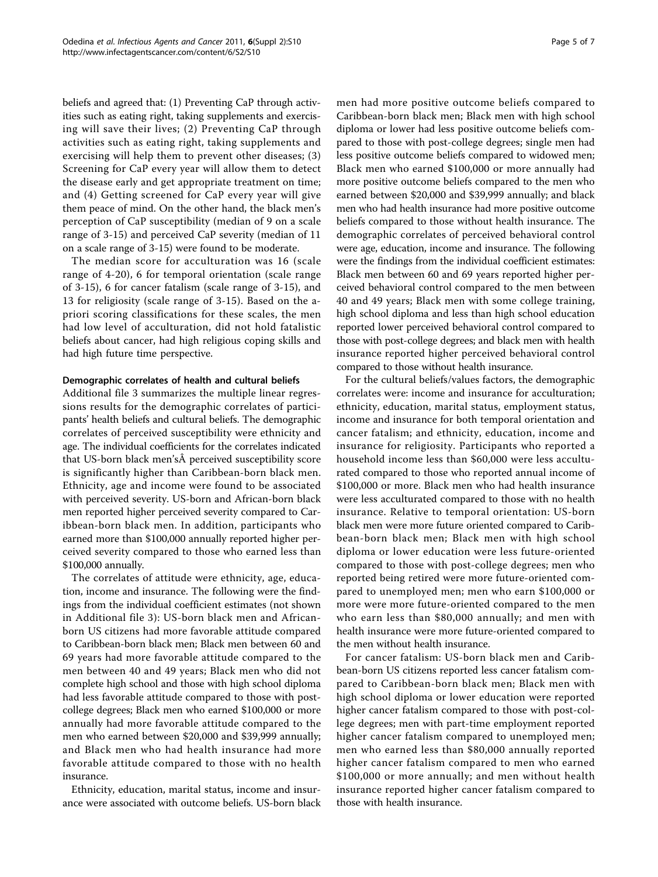beliefs and agreed that: (1) Preventing CaP through activities such as eating right, taking supplements and exercising will save their lives; (2) Preventing CaP through activities such as eating right, taking supplements and exercising will help them to prevent other diseases; (3) Screening for CaP every year will allow them to detect the disease early and get appropriate treatment on time; and (4) Getting screened for CaP every year will give them peace of mind. On the other hand, the black men's perception of CaP susceptibility (median of 9 on a scale range of 3-15) and perceived CaP severity (median of 11 on a scale range of 3-15) were found to be moderate.

The median score for acculturation was 16 (scale range of 4-20), 6 for temporal orientation (scale range of 3-15), 6 for cancer fatalism (scale range of 3-15), and 13 for religiosity (scale range of 3-15). Based on the apriori scoring classifications for these scales, the men had low level of acculturation, did not hold fatalistic beliefs about cancer, had high religious coping skills and had high future time perspective.

#### Demographic correlates of health and cultural beliefs

Additional file [3](#page-5-0) summarizes the multiple linear regressions results for the demographic correlates of participants' health beliefs and cultural beliefs. The demographic correlates of perceived susceptibility were ethnicity and age. The individual coefficients for the correlates indicated that US-born black men's perceived susceptibility score is significantly higher than Caribbean-born black men. Ethnicity, age and income were found to be associated with perceived severity. US-born and African-born black men reported higher perceived severity compared to Caribbean-born black men. In addition, participants who earned more than \$100,000 annually reported higher perceived severity compared to those who earned less than \$100,000 annually.

The correlates of attitude were ethnicity, age, education, income and insurance. The following were the findings from the individual coefficient estimates (not shown in Additional file [3](#page-5-0)): US-born black men and Africanborn US citizens had more favorable attitude compared to Caribbean-born black men; Black men between 60 and 69 years had more favorable attitude compared to the men between 40 and 49 years; Black men who did not complete high school and those with high school diploma had less favorable attitude compared to those with postcollege degrees; Black men who earned \$100,000 or more annually had more favorable attitude compared to the men who earned between \$20,000 and \$39,999 annually; and Black men who had health insurance had more favorable attitude compared to those with no health insurance.

Ethnicity, education, marital status, income and insurance were associated with outcome beliefs. US-born black men had more positive outcome beliefs compared to Caribbean-born black men; Black men with high school diploma or lower had less positive outcome beliefs compared to those with post-college degrees; single men had less positive outcome beliefs compared to widowed men; Black men who earned \$100,000 or more annually had more positive outcome beliefs compared to the men who earned between \$20,000 and \$39,999 annually; and black men who had health insurance had more positive outcome beliefs compared to those without health insurance. The demographic correlates of perceived behavioral control were age, education, income and insurance. The following were the findings from the individual coefficient estimates: Black men between 60 and 69 years reported higher perceived behavioral control compared to the men between 40 and 49 years; Black men with some college training, high school diploma and less than high school education reported lower perceived behavioral control compared to those with post-college degrees; and black men with health insurance reported higher perceived behavioral control compared to those without health insurance.

For the cultural beliefs/values factors, the demographic correlates were: income and insurance for acculturation; ethnicity, education, marital status, employment status, income and insurance for both temporal orientation and cancer fatalism; and ethnicity, education, income and insurance for religiosity. Participants who reported a household income less than \$60,000 were less acculturated compared to those who reported annual income of \$100,000 or more. Black men who had health insurance were less acculturated compared to those with no health insurance. Relative to temporal orientation: US-born black men were more future oriented compared to Caribbean-born black men; Black men with high school diploma or lower education were less future-oriented compared to those with post-college degrees; men who reported being retired were more future-oriented compared to unemployed men; men who earn \$100,000 or more were more future-oriented compared to the men who earn less than \$80,000 annually; and men with health insurance were more future-oriented compared to the men without health insurance.

For cancer fatalism: US-born black men and Caribbean-born US citizens reported less cancer fatalism compared to Caribbean-born black men; Black men with high school diploma or lower education were reported higher cancer fatalism compared to those with post-college degrees; men with part-time employment reported higher cancer fatalism compared to unemployed men; men who earned less than \$80,000 annually reported higher cancer fatalism compared to men who earned \$100,000 or more annually; and men without health insurance reported higher cancer fatalism compared to those with health insurance.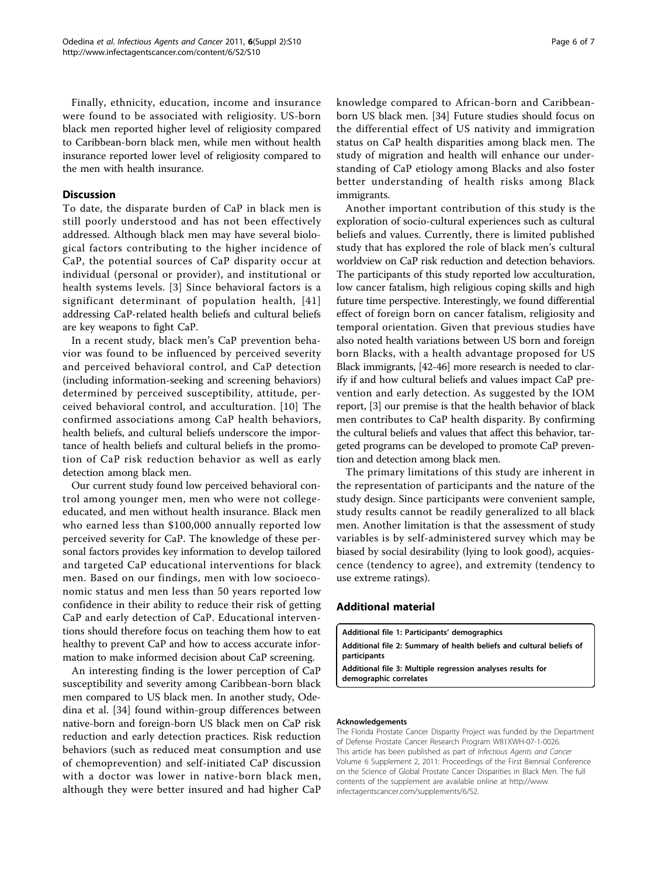<span id="page-5-0"></span>Finally, ethnicity, education, income and insurance were found to be associated with religiosity. US-born black men reported higher level of religiosity compared to Caribbean-born black men, while men without health insurance reported lower level of religiosity compared to the men with health insurance.

#### Discussion

To date, the disparate burden of CaP in black men is still poorly understood and has not been effectively addressed. Although black men may have several biological factors contributing to the higher incidence of CaP, the potential sources of CaP disparity occur at individual (personal or provider), and institutional or health systems levels. [[3\]](#page-6-0) Since behavioral factors is a significant determinant of population health, [[41](#page-6-0)] addressing CaP-related health beliefs and cultural beliefs are key weapons to fight CaP.

In a recent study, black men's CaP prevention behavior was found to be influenced by perceived severity and perceived behavioral control, and CaP detection (including information-seeking and screening behaviors) determined by perceived susceptibility, attitude, perceived behavioral control, and acculturation. [[10\]](#page-6-0) The confirmed associations among CaP health behaviors, health beliefs, and cultural beliefs underscore the importance of health beliefs and cultural beliefs in the promotion of CaP risk reduction behavior as well as early detection among black men.

Our current study found low perceived behavioral control among younger men, men who were not collegeeducated, and men without health insurance. Black men who earned less than \$100,000 annually reported low perceived severity for CaP. The knowledge of these personal factors provides key information to develop tailored and targeted CaP educational interventions for black men. Based on our findings, men with low socioeconomic status and men less than 50 years reported low confidence in their ability to reduce their risk of getting CaP and early detection of CaP. Educational interventions should therefore focus on teaching them how to eat healthy to prevent CaP and how to access accurate information to make informed decision about CaP screening.

An interesting finding is the lower perception of CaP susceptibility and severity among Caribbean-born black men compared to US black men. In another study, Odedina et al. [\[34](#page-6-0)] found within-group differences between native-born and foreign-born US black men on CaP risk reduction and early detection practices. Risk reduction behaviors (such as reduced meat consumption and use of chemoprevention) and self-initiated CaP discussion with a doctor was lower in native-born black men, although they were better insured and had higher CaP knowledge compared to African-born and Caribbeanborn US black men. [\[34](#page-6-0)] Future studies should focus on the differential effect of US nativity and immigration status on CaP health disparities among black men. The study of migration and health will enhance our understanding of CaP etiology among Blacks and also foster better understanding of health risks among Black immigrants.

Another important contribution of this study is the exploration of socio-cultural experiences such as cultural beliefs and values. Currently, there is limited published study that has explored the role of black men's cultural worldview on CaP risk reduction and detection behaviors. The participants of this study reported low acculturation, low cancer fatalism, high religious coping skills and high future time perspective. Interestingly, we found differential effect of foreign born on cancer fatalism, religiosity and temporal orientation. Given that previous studies have also noted health variations between US born and foreign born Blacks, with a health advantage proposed for US Black immigrants, [\[42-46\]](#page-6-0) more research is needed to clarify if and how cultural beliefs and values impact CaP prevention and early detection. As suggested by the IOM report, [\[3](#page-6-0)] our premise is that the health behavior of black men contributes to CaP health disparity. By confirming the cultural beliefs and values that affect this behavior, targeted programs can be developed to promote CaP prevention and detection among black men.

The primary limitations of this study are inherent in the representation of participants and the nature of the study design. Since participants were convenient sample, study results cannot be readily generalized to all black men. Another limitation is that the assessment of study variables is by self-administered survey which may be biased by social desirability (lying to look good), acquiescence (tendency to agree), and extremity (tendency to use extreme ratings).

#### Additional material

[Additional file 1: P](http://www.biomedcentral.com/content/supplementary/1750-9378-6-S2-S10-S1.pdf)articipants' demographics

[Additional file 2: S](http://www.biomedcentral.com/content/supplementary/1750-9378-6-S2-S10-S2.pdf)ummary of health beliefs and cultural beliefs of participants

[Additional file 3: M](http://www.biomedcentral.com/content/supplementary/1750-9378-6-S2-S10-S3.pdf)ultiple regression analyses results for demographic correlates

#### Acknowledgements

The Florida Prostate Cancer Disparity Project was funded by the Department of Defense Prostate Cancer Research Program W81XWH-07-1-0026. This article has been published as part of Infectious Agents and Cancer Volume 6 Supplement 2, 2011: Proceedings of the First Biennial Conference on the Science of Global Prostate Cancer Disparities in Black Men. The full contents of the supplement are available online at [http://www.](http://www.infectagentscancer.com/supplements/6/S2) [infectagentscancer.com/supplements/6/S2](http://www.infectagentscancer.com/supplements/6/S2).